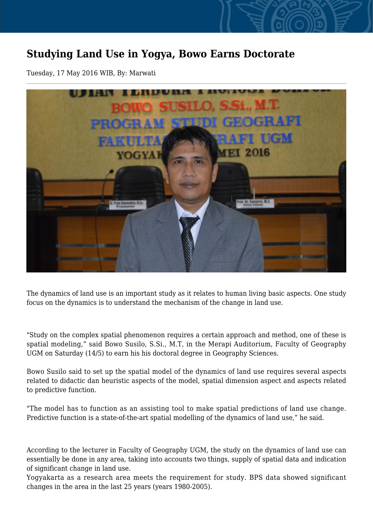## **Studying Land Use in Yogya, Bowo Earns Doctorate**

Tuesday, 17 May 2016 WIB, By: Marwati



The dynamics of land use is an important study as it relates to human living basic aspects. One study focus on the dynamics is to understand the mechanism of the change in land use.

"Study on the complex spatial phenomenon requires a certain approach and method, one of these is spatial modeling," said Bowo Susilo, S.Si., M.T, in the Merapi Auditorium, Faculty of Geography UGM on Saturday (14/5) to earn his his doctoral degree in Geography Sciences.

Bowo Susilo said to set up the spatial model of the dynamics of land use requires several aspects related to didactic dan heuristic aspects of the model, spatial dimension aspect and aspects related to predictive function.

"The model has to function as an assisting tool to make spatial predictions of land use change. Predictive function is a state-of-the-art spatial modelling of the dynamics of land use," he said.

According to the lecturer in Faculty of Geography UGM, the study on the dynamics of land use can essentially be done in any area, taking into accounts two things, supply of spatial data and indication of significant change in land use.

Yogyakarta as a research area meets the requirement for study. BPS data showed significant changes in the area in the last 25 years (years 1980-2005).